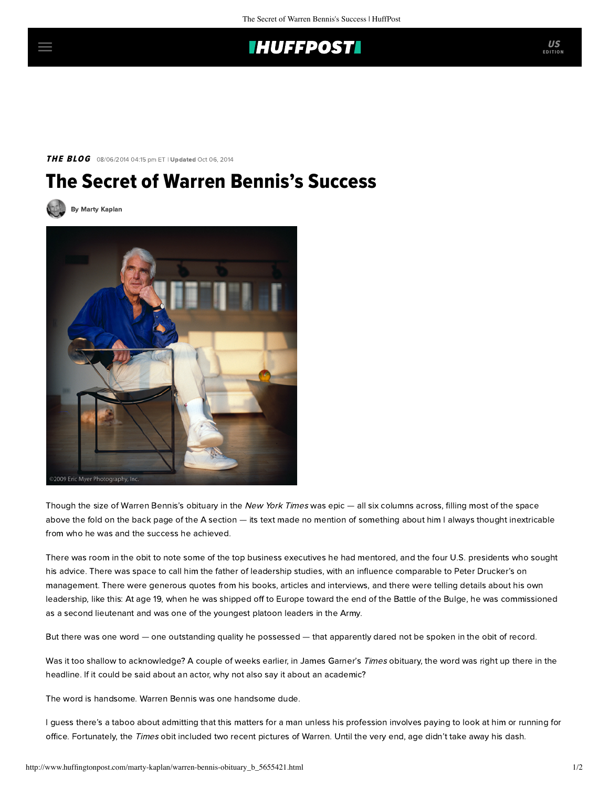## **IHUFFPOSTI**

THE BLOG 08/06/2014 04:15 pm ET | Updated Oct 06, 2014

## The Secret of Warren Bennis's Success

[By Marty Kaplan](http://www.huffingtonpost.com/author/marty-kaplan)



Though the size of Warren Bennis's [obituary](http://www.nytimes.com/2014/08/02/business/warren-g-bennis-scholar-on-leadership-dies-at-89.html?_r=2) in the New York Times was epic — all six columns across, filling most of the space above the fold on the back page of the A section — its text made no mention of something about him I always thought inextricable from who he was and the success he achieved.

There was room in the obit to note some of the top business executives he had mentored, and the four U.S. presidents who sought his advice. There was space to call him the father of leadership studies, with an influence comparable to Peter Drucker's on management. There were generous quotes from his books, articles and interviews, and there were telling details about his own leadership, like this: At age 19, when he was shipped off to Europe toward the end of the Battle of the Bulge, he was commissioned as a second lieutenant and was one of the youngest platoon leaders in the Army.

But there was one word — one outstanding quality he possessed — that apparently dared not be spoken in the obit of record.

Was it too shallow to acknowledge? A couple of weeks earlier, in James Garner's Times obituary, the word was right up there in the headline. If it could be said about an actor, why not also say it about an academic?

The word is handsome. Warren Bennis was one handsome dude.

I guess there's a taboo about admitting that this matters for a man unless his profession involves paying to look at him or running for office. Fortunately, the Times obit included two recent pictures of Warren. Until the very end, age didn't take away his dash.